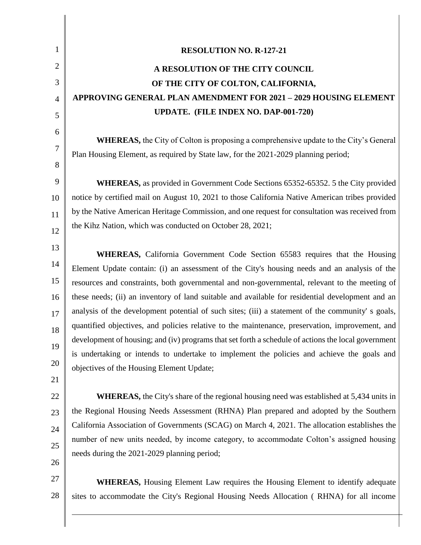| 1                   | <b>RESOLUTION NO. R-127-21</b>                                                                      |  |
|---------------------|-----------------------------------------------------------------------------------------------------|--|
| 2                   | A RESOLUTION OF THE CITY COUNCIL                                                                    |  |
| 3                   | OF THE CITY OF COLTON, CALIFORNIA,                                                                  |  |
| $\overline{4}$      | <b>APPROVING GENERAL PLAN AMENDMENT FOR 2021 - 2029 HOUSING ELEMENT</b>                             |  |
| 5                   | UPDATE. (FILE INDEX NO. DAP-001-720)                                                                |  |
| 6                   | <b>WHEREAS,</b> the City of Colton is proposing a comprehensive update to the City's General        |  |
| $\overline{7}$<br>8 | Plan Housing Element, as required by State law, for the 2021-2029 planning period;                  |  |
| 9                   | <b>WHEREAS</b> , as provided in Government Code Sections 65352-65352. 5 the City provided           |  |
| 10                  | notice by certified mail on August 10, 2021 to those California Native American tribes provided     |  |
| 11                  | by the Native American Heritage Commission, and one request for consultation was received from      |  |
| 12                  | the Kihz Nation, which was conducted on October 28, 2021;                                           |  |
| 13                  | <b>WHEREAS,</b> California Government Code Section 65583 requires that the Housing                  |  |
| 14                  | Element Update contain: (i) an assessment of the City's housing needs and an analysis of the        |  |
| 15                  | resources and constraints, both governmental and non-governmental, relevant to the meeting of       |  |
| 16                  | these needs; (ii) an inventory of land suitable and available for residential development and an    |  |
| 17                  | analysis of the development potential of such sites; (iii) a statement of the community' s goals,   |  |
| 18                  | quantified objectives, and policies relative to the maintenance, preservation, improvement, and     |  |
| 19                  | development of housing; and (iv) programs that set forth a schedule of actions the local government |  |
| 20                  | is undertaking or intends to undertake to implement the policies and achieve the goals and          |  |
| 21                  | objectives of the Housing Element Update;                                                           |  |
| 22                  | <b>WHEREAS</b> , the City's share of the regional housing need was established at 5,434 units in    |  |
| 23                  | the Regional Housing Needs Assessment (RHNA) Plan prepared and adopted by the Southern              |  |
| 24                  | California Association of Governments (SCAG) on March 4, 2021. The allocation establishes the       |  |
|                     | number of new units needed, by income category, to accommodate Colton's assigned housing            |  |
| 25                  | needs during the 2021-2029 planning period;                                                         |  |
| 26                  |                                                                                                     |  |
| 27                  | <b>WHEREAS,</b> Housing Element Law requires the Housing Element to identify adequate               |  |
| 28                  | sites to accommodate the City's Regional Housing Needs Allocation (RHNA) for all income             |  |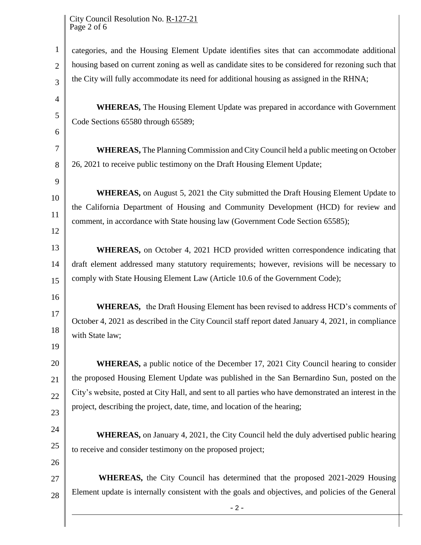City Council Resolution No. R-127-21 Page 2 of 6

1 2 3 4 5 6 7 8 9 10 11 12 13 14 15 16 17 18 19 20 21 22 23 24 25 26 27 28 - 2 categories, and the Housing Element Update identifies sites that can accommodate additional housing based on current zoning as well as candidate sites to be considered for rezoning such that the City will fully accommodate its need for additional housing as assigned in the RHNA; **WHEREAS,** The Housing Element Update was prepared in accordance with Government Code Sections 65580 through 65589; **WHEREAS,** The Planning Commission and City Council held a public meeting on October 26, 2021 to receive public testimony on the Draft Housing Element Update; **WHEREAS,** on August 5, 2021 the City submitted the Draft Housing Element Update to the California Department of Housing and Community Development (HCD) for review and comment, in accordance with State housing law (Government Code Section 65585); **WHEREAS,** on October 4, 2021 HCD provided written correspondence indicating that draft element addressed many statutory requirements; however, revisions will be necessary to comply with State Housing Element Law (Article 10.6 of the Government Code); **WHEREAS,** the Draft Housing Element has been revised to address HCD's comments of October 4, 2021 as described in the City Council staff report dated January 4, 2021, in compliance with State law; **WHEREAS,** a public notice of the December 17, 2021 City Council hearing to consider the proposed Housing Element Update was published in the San Bernardino Sun*,* posted on the City's website, posted at City Hall, and sent to all parties who have demonstrated an interest in the project, describing the project, date, time, and location of the hearing; **WHEREAS,** on January 4, 2021, the City Council held the duly advertised public hearing to receive and consider testimony on the proposed project; **WHEREAS,** the City Council has determined that the proposed 2021-2029 Housing Element update is internally consistent with the goals and objectives, and policies of the General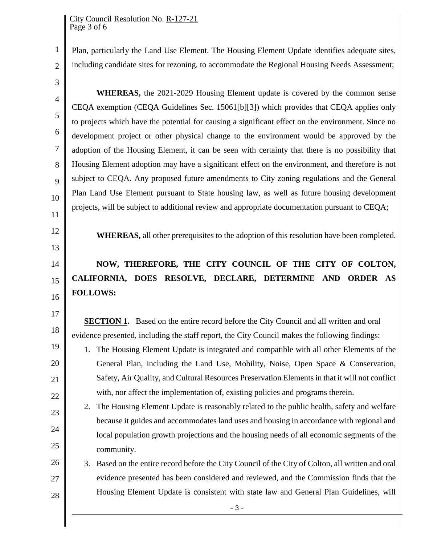Plan, particularly the Land Use Element. The Housing Element Update identifies adequate sites, including candidate sites for rezoning, to accommodate the Regional Housing Needs Assessment;

3

4

5

6

7

8

9

10

11

12

13

14

15

16

17

18

19

20

21

22

23

24

25

1

2

**WHEREAS,** the 2021-2029 Housing Element update is covered by the common sense CEQA exemption (CEQA Guidelines Sec. 15061[b][3]) which provides that CEQA applies only to projects which have the potential for causing a significant effect on the environment. Since no development project or other physical change to the environment would be approved by the adoption of the Housing Element, it can be seen with certainty that there is no possibility that Housing Element adoption may have a significant effect on the environment, and therefore is not subject to CEQA. Any proposed future amendments to City zoning regulations and the General Plan Land Use Element pursuant to State housing law, as well as future housing development projects, will be subject to additional review and appropriate documentation pursuant to CEQA;

**WHEREAS,** all other prerequisites to the adoption of this resolution have been completed.

## **NOW, THEREFORE, THE CITY COUNCIL OF THE CITY OF COLTON, CALIFORNIA, DOES RESOLVE, DECLARE, DETERMINE AND ORDER AS FOLLOWS:**

**SECTION 1.** Based on the entire record before the City Council and all written and oral evidence presented, including the staff report, the City Council makes the following findings:

- 1. The Housing Element Update is integrated and compatible with all other Elements of the General Plan, including the Land Use, Mobility, Noise, Open Space & Conservation, Safety, Air Quality, and Cultural Resources Preservation Elements in that it will not conflict with, nor affect the implementation of, existing policies and programs therein.
- 2. The Housing Element Update is reasonably related to the public health, safety and welfare because it guides and accommodates land uses and housing in accordance with regional and local population growth projections and the housing needs of all economic segments of the community.
- 26 27 28 3. Based on the entire record before the City Council of the City of Colton, all written and oral evidence presented has been considered and reviewed, and the Commission finds that the Housing Element Update is consistent with state law and General Plan Guidelines, will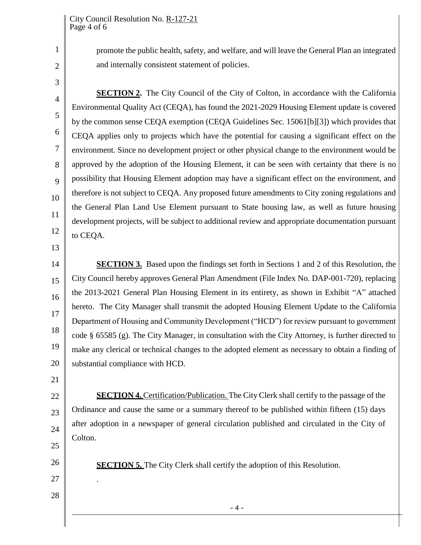promote the public health, safety, and welfare, and will leave the General Plan an integrated and internally consistent statement of policies.

3

4

5

6

7

8

9

10

11

12

13

2

1

**SECTION 2.** The City Council of the City of Colton, in accordance with the California Environmental Quality Act (CEQA), has found the 2021-2029 Housing Element update is covered by the common sense CEQA exemption (CEQA Guidelines Sec. 15061[b][3]) which provides that CEQA applies only to projects which have the potential for causing a significant effect on the environment. Since no development project or other physical change to the environment would be approved by the adoption of the Housing Element, it can be seen with certainty that there is no possibility that Housing Element adoption may have a significant effect on the environment, and therefore is not subject to CEQA. Any proposed future amendments to City zoning regulations and the General Plan Land Use Element pursuant to State housing law, as well as future housing development projects, will be subject to additional review and appropriate documentation pursuant to CEQA.

14 15 16 17 18 19 20 **SECTION 3.** Based upon the findings set forth in Sections 1 and 2 of this Resolution, the City Council hereby approves General Plan Amendment (File Index No. DAP-001-720), replacing the 2013-2021 General Plan Housing Element in its entirety, as shown in Exhibit "A" attached hereto. The City Manager shall transmit the adopted Housing Element Update to the California Department of Housing and Community Development ("HCD") for review pursuant to government code § 65585 (g). The City Manager, in consultation with the City Attorney, is further directed to make any clerical or technical changes to the adopted element as necessary to obtain a finding of substantial compliance with HCD.

21

26

27

.

28

22 23 24 25 **SECTION 4.** Certification/Publication. The City Clerk shall certify to the passage of the Ordinance and cause the same or a summary thereof to be published within fifteen (15) days after adoption in a newspaper of general circulation published and circulated in the City of Colton.

**SECTION 5.** The City Clerk shall certify the adoption of this Resolution.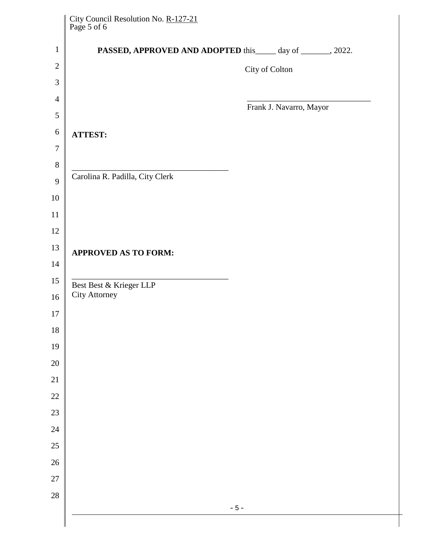| City Council Resolution No. <u>R-127-21</u><br>Page 5 of 6 |                |                         |  |
|------------------------------------------------------------|----------------|-------------------------|--|
| PASSED, APPROVED AND ADOPTED this day of ______, 2022.     |                |                         |  |
|                                                            | City of Colton |                         |  |
|                                                            |                |                         |  |
|                                                            |                | Frank J. Navarro, Mayor |  |
|                                                            |                |                         |  |
| <b>ATTEST:</b>                                             |                |                         |  |
|                                                            |                |                         |  |
| Carolina R. Padilla, City Clerk                            |                |                         |  |
|                                                            |                |                         |  |
|                                                            |                |                         |  |
|                                                            |                |                         |  |
|                                                            |                |                         |  |
| <b>APPROVED AS TO FORM:</b>                                |                |                         |  |
|                                                            |                |                         |  |
| Best Best & Krieger LLP<br><b>City Attorney</b>            |                |                         |  |
|                                                            |                |                         |  |
|                                                            |                |                         |  |
|                                                            |                |                         |  |
|                                                            |                |                         |  |
|                                                            |                |                         |  |
|                                                            |                |                         |  |
|                                                            |                |                         |  |
|                                                            |                |                         |  |
|                                                            |                |                         |  |
|                                                            |                |                         |  |
|                                                            |                |                         |  |
|                                                            |                |                         |  |
| $-5-$                                                      |                |                         |  |